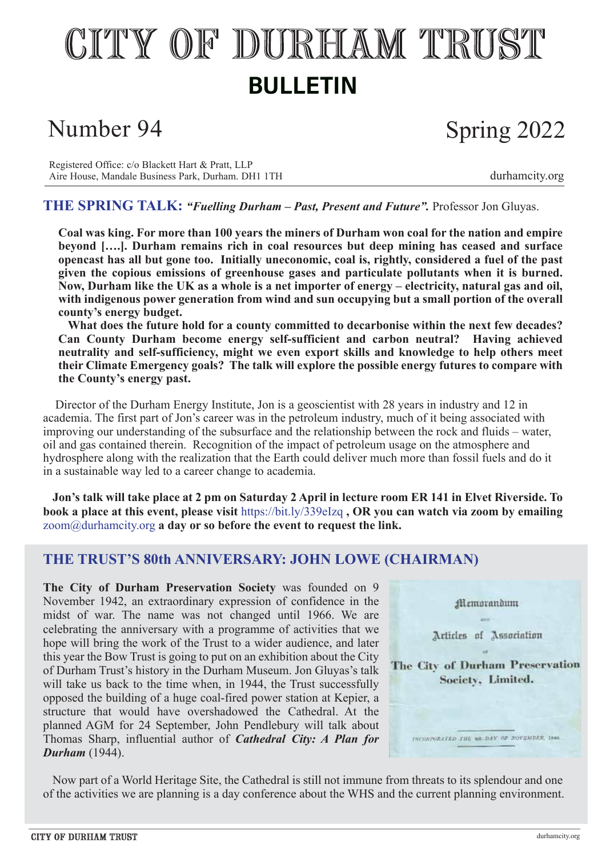# CITY OF DURHAM TRUST **BULLETIN**

### Number 94

## Spring 2022

Registered Office: c/o Blackett Hart & Pratt, LLP Aire House, Mandale Business Park, Durham. DH1 1TH [durhamcity.org](http://durhamcity.org)

#### **THE SPRING TALK:** *"Fuelling Durham – Past, Present and Future".* Professor Jon Gluyas.

**Coal was king. For more than 100 years the miners of Durham won coal for the nation and empire beyond [….]. Durham remains rich in coal resources but deep mining has ceased and surface opencast has all but gone too. Initially uneconomic, coal is, rightly, considered a fuel of the past given the copious emissions of greenhouse gases and particulate pollutants when it is burned. Now, Durham like the UK as a whole is a net importer of energy – electricity, natural gas and oil, with indigenous power generation from wind and sun occupying but a small portion of the overall county's energy budget.**

 **What does the future hold for a county committed to decarbonise within the next few decades? Can County Durham become energy self-sufficient and carbon neutral? Having achieved neutrality and self-sufficiency, might we even export skills and knowledge to help others meet their Climate Emergency goals? The talk will explore the possible energy futures to compare with the County's energy past.**

 Director of the Durham Energy Institute, Jon is a geoscientist with 28 years in industry and 12 in academia. The first part of Jon's career was in the petroleum industry, much of it being associated with improving our understanding of the subsurface and the relationship between the rock and fluids – water, oil and gas contained therein. Recognition of the impact of petroleum usage on the atmosphere and hydrosphere along with the realization that the Earth could deliver much more than fossil fuels and do it in a sustainable way led to a career change to academia.

 **Jon's talk will take place at 2 pm on Saturday 2 April in lecture room ER 141 in Elvet Riverside. To book a place at this event, please visit** https://bit.ly/339eIzq **, OR you can watch via zoom by emailing** zoom@durhamcity.org **a day or so before the event to request the link.**

#### **THE TRUST'S 80th ANNIVERSARY: JOHN LOWE (CHAIRMAN)**

**The City of Durham Preservation Society** was founded on 9 November 1942, an extraordinary expression of confidence in the midst of war. The name was not changed until 1966. We are celebrating the anniversary with a programme of activities that we hope will bring the work of the Trust to a wider audience, and later this year the Bow Trust is going to put on an exhibition about the City of Durham Trust's history in the Durham Museum. Jon Gluyas's talk will take us back to the time when, in 1944, the Trust successfully opposed the building of a huge coal-fired power station at Kepier, a structure that would have overshadowed the Cathedral. At the planned AGM for 24 September, John Pendlebury will talk about Thomas Sharp, influential author of *Cathedral City: A Plan for Durham* (1944).



 Now part of a World Heritage Site, the Cathedral is still not immune from threats to its splendour and one of the activities we are planning is a day conference about the WHS and the current planning environment.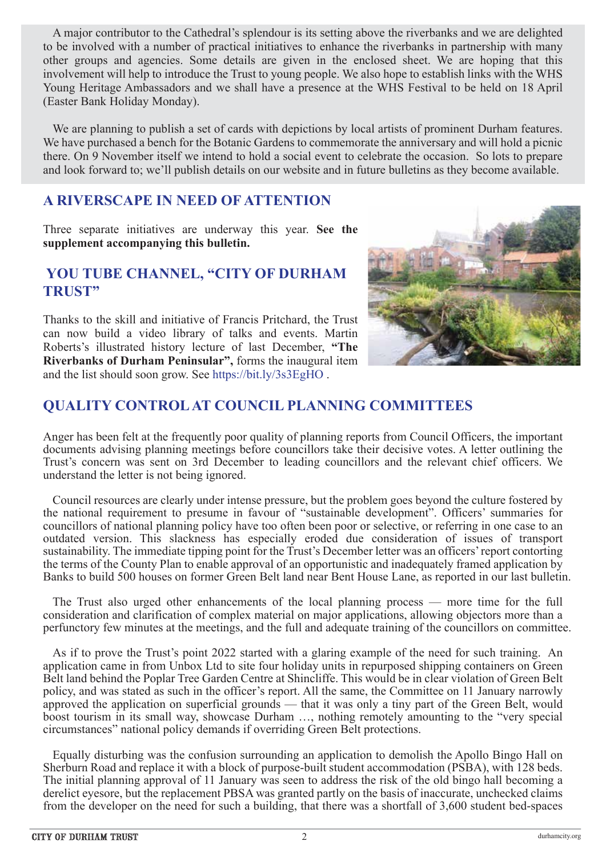A major contributor to the Cathedral's splendour is its setting above the riverbanks and we are delighted to be involved with a number of practical initiatives to enhance the riverbanks in partnership with many other groups and agencies. Some details are given in the enclosed sheet. We are hoping that this involvement will help to introduce the Trust to young people. We also hope to establish links with the WHS Young Heritage Ambassadors and we shall have a presence at the WHS Festival to be held on 18 April (Easter Bank Holiday Monday).

We are planning to publish a set of cards with depictions by local artists of prominent Durham features. We have purchased a bench for the Botanic Gardens to commemorate the anniversary and will hold a picnic there. On 9 November itself we intend to hold a social event to celebrate the occasion. So lots to prepare and look forward to; we'll publish details on our website and in future bulletins as they become available.

#### **A RIVERSCAPE IN NEED OF ATTENTION**

Three separate initiatives are underway this year. **See the supplement accompanying this bulletin.** 

#### **YOU TUBE CHANNEL, "CITY OF DURHAM TRUST"**

Thanks to the skill and initiative of Francis Pritchard, the Trust can now build a video library of talks and events. Martin Roberts's illustrated history lecture of last December, **"The Riverbanks of Durham Peninsular",** forms the inaugural item and the list should soon grow. See https://bit.ly/3s3EgHO .



### **QUALITY CONTROL AT COUNCIL PLANNING COMMITTEES**

Anger has been felt at the frequently poor quality of planning reports from Council Officers, the important documents advising planning meetings before councillors take their decisive votes. A letter outlining the Trust's concern was sent on 3rd December to leading councillors and the relevant chief officers. We understand the letter is not being ignored.

 Council resources are clearly under intense pressure, but the problem goes beyond the culture fostered by the national requirement to presume in favour of "sustainable development". Officers' summaries for councillors of national planning policy have too often been poor or selective, or referring in one case to an outdated version. This slackness has especially eroded due consideration of issues of transport sustainability. The immediate tipping point for the Trust's December letter was an officers' report contorting the terms of the County Plan to enable approval of an opportunistic and inadequately framed application by Banks to build 500 houses on former Green Belt land near Bent House Lane, as reported in our last bulletin.

 The Trust also urged other enhancements of the local planning process — more time for the full consideration and clarification of complex material on major applications, allowing objectors more than a perfunctory few minutes at the meetings, and the full and adequate training of the councillors on committee.

 As if to prove the Trust's point 2022 started with a glaring example of the need for such training. An application came in from Unbox Ltd to site four holiday units in repurposed shipping containers on Green Belt land behind the Poplar Tree Garden Centre at Shincliffe. This would be in clear violation of Green Belt policy, and was stated as such in the officer's report. All the same, the Committee on 11 January narrowly approved the application on superficial grounds — that it was only a tiny part of the Green Belt, would boost tourism in its small way, showcase Durham …, nothing remotely amounting to the "very special circumstances" national policy demands if overriding Green Belt protections.

 Equally disturbing was the confusion surrounding an application to demolish the Apollo Bingo Hall on Sherburn Road and replace it with a block of purpose-built student accommodation (PSBA), with 128 beds. The initial planning approval of 11 January was seen to address the risk of the old bingo hall becoming a derelict eyesore, but the replacement PBSA was granted partly on the basis of inaccurate, unchecked claims from the developer on the need for such a building, that there was a shortfall of 3,600 student bed-spaces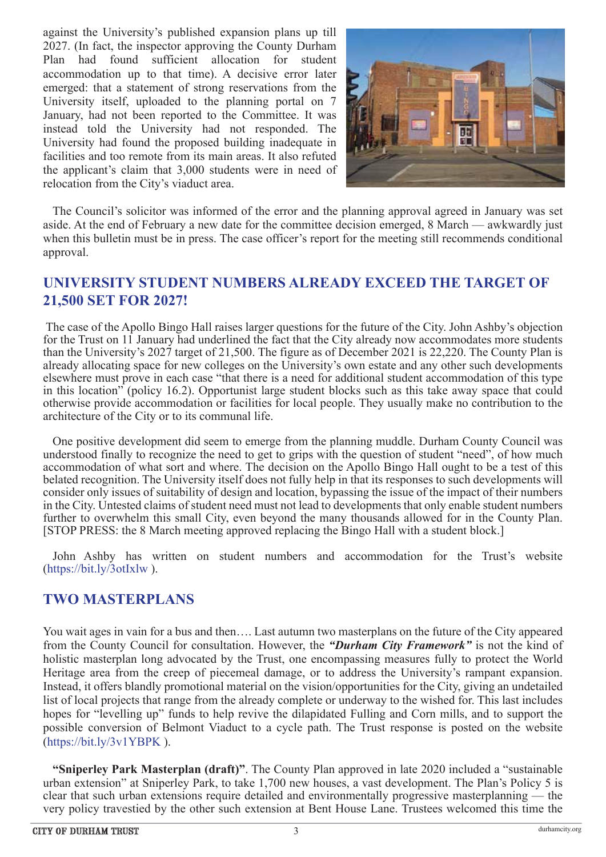against the University's published expansion plans up till 2027. (In fact, the inspector approving the County Durham Plan had found sufficient allocation for student accommodation up to that time). A decisive error later emerged: that a statement of strong reservations from the University itself, uploaded to the planning portal on 7 January, had not been reported to the Committee. It was instead told the University had not responded. The University had found the proposed building inadequate in facilities and too remote from its main areas. It also refuted the applicant's claim that 3,000 students were in need of relocation from the City's viaduct area.



 The Council's solicitor was informed of the error and the planning approval agreed in January was set aside. At the end of February a new date for the committee decision emerged, 8 March — awkwardly just when this bulletin must be in press. The case officer's report for the meeting still recommends conditional approval.

#### **UNIVERSITY STUDENT NUMBERS ALREADY EXCEED THE TARGET OF 21,500 SET FOR 2027!**

 The case of the Apollo Bingo Hall raises larger questions for the future of the City. John Ashby's objection for the Trust on 11 January had underlined the fact that the City already now accommodates more students than the University's 2027 target of 21,500. The figure as of December 2021 is 22,220. The County Plan is already allocating space for new colleges on the University's own estate and any other such developments elsewhere must prove in each case "that there is a need for additional student accommodation of this type in this location" (policy 16.2). Opportunist large student blocks such as this take away space that could otherwise provide accommodation or facilities for local people. They usually make no contribution to the architecture of the City or to its communal life.

 One positive development did seem to emerge from the planning muddle. Durham County Council was understood finally to recognize the need to get to grips with the question of student "need", of how much accommodation of what sort and where. The decision on the Apollo Bingo Hall ought to be a test of this belated recognition. The University itself does not fully help in that its responses to such developments will consider only issues of suitability of design and location, bypassing the issue of the impact of their numbers in the City. Untested claims of student need must not lead to developments that only enable student numbers further to overwhelm this small City, even beyond the many thousands allowed for in the County Plan. [STOP PRESS: the 8 March meeting approved replacing the Bingo Hall with a student block.]

 John Ashby has written on student numbers and accommodation for the Trust's website (https://bit.ly/3otIxlw ).

#### **TWO MASTERPLANS**

You wait ages in vain for a bus and then…. Last autumn two masterplans on the future of the City appeared from the County Council for consultation. However, the *"Durham City Framework"* is not the kind of holistic masterplan long advocated by the Trust, one encompassing measures fully to protect the World Heritage area from the creep of piecemeal damage, or to address the University's rampant expansion. Instead, it offers blandly promotional material on the vision/opportunities for the City, giving an undetailed list of local projects that range from the already complete or underway to the wished for. This last includes hopes for "levelling up" funds to help revive the dilapidated Fulling and Corn mills, and to support the possible conversion of Belmont Viaduct to a cycle path. The Trust response is posted on the website (https://bit.ly/3v1YBPK ).

**"Sniperley Park Masterplan (draft)"**. The County Plan approved in late 2020 included a "sustainable urban extension" at Sniperley Park, to take 1,700 new houses, a vast development. The Plan's Policy 5 is clear that such urban extensions require detailed and environmentally progressive masterplanning — the very policy travestied by the other such extension at Bent House Lane. Trustees welcomed this time the